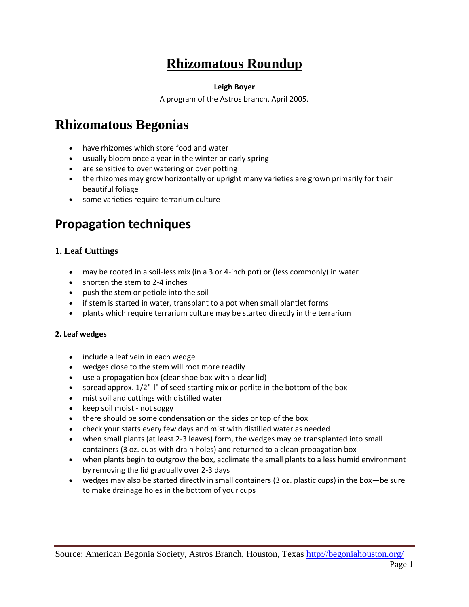## **Rhizomatous Roundup**

#### **Leigh Boyer**

A program of the Astros branch, April 2005.

# **Rhizomatous Begonias**

- have rhizomes which store food and water
- usually bloom once a year in the winter or early spring
- are sensitive to over watering or over potting
- the rhizomes may grow horizontally or upright many varieties are grown primarily for their beautiful foliage
- some varieties require terrarium culture

## **Propagation techniques**

### **1. Leaf Cuttings**

- may be rooted in a soil-less mix (in a 3 or 4-inch pot) or (less commonly) in water
- shorten the stem to 2-4 inches
- push the stem or petiole into the soil
- if stem is started in water, transplant to a pot when small plantlet forms
- plants which require terrarium culture may be started directly in the terrarium

#### **2. Leaf wedges**

- include a leaf vein in each wedge
- wedges close to the stem will root more readily
- use a propagation box (clear shoe box with a clear lid)
- spread approx. 1/2"-l" of seed starting mix or perlite in the bottom of the box
- mist soil and cuttings with distilled water
- keep soil moist not soggy
- there should be some condensation on the sides or top of the box
- check your starts every few days and mist with distilled water as needed
- when small plants (at least 2-3 leaves) form, the wedges may be transplanted into small containers (3 oz. cups with drain holes) and returned to a clean propagation box
- when plants begin to outgrow the box, acclimate the small plants to a less humid environment by removing the lid gradually over 2-3 days
- wedges may also be started directly in small containers (3 oz. plastic cups) in the box—be sure to make drainage holes in the bottom of your cups